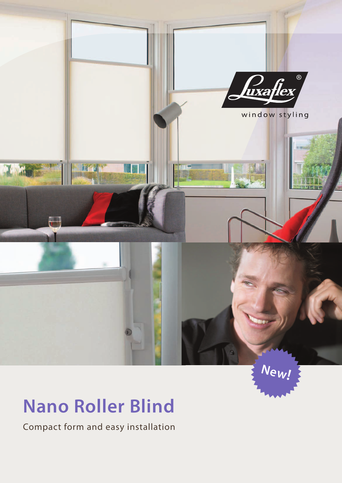

**New!**

# **Nano Roller Blind**

Compact form and easy installation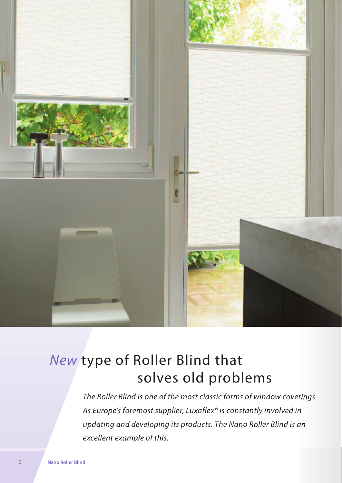

# *New* type of Roller Blind that solves old problems

*The Roller Blind is one of the most classic forms of window coverings. As Europe's foremost supplier, Luxaflex® is constantly involved in updating and developing its products. The Nano Roller Blind is an excellent example of this.*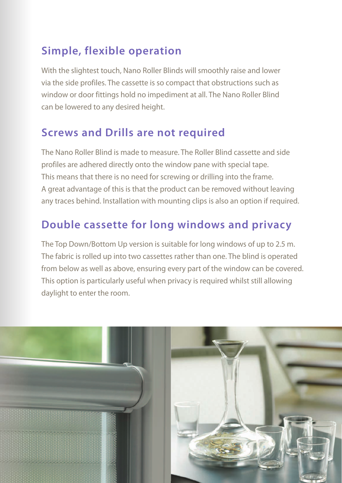## **Simple, flexible operation**

With the slightest touch, Nano Roller Blinds will smoothly raise and lower via the side profiles. The cassette is so compact that obstructions such as window or door fittings hold no impediment at all. The Nano Roller Blind can be lowered to any desired height.

#### **Screws and Drills are not required**

The Nano Roller Blind is made to measure. The Roller Blind cassette and side profiles are adhered directly onto the window pane with special tape. This means that there is no need for screwing or drilling into the frame. A great advantage of this is that the product can be removed without leaving any traces behind. Installation with mounting clips is also an option if required.

### **Double cassette for long windows and privacy**

The Top Down/Bottom Up version is suitable for long windows of up to 2.5 m. The fabric is rolled up into two cassettes rather than one. The blind is operated from below as well as above, ensuring every part of the window can be covered. This option is particularly useful when privacy is required whilst still allowing daylight to enter the room.

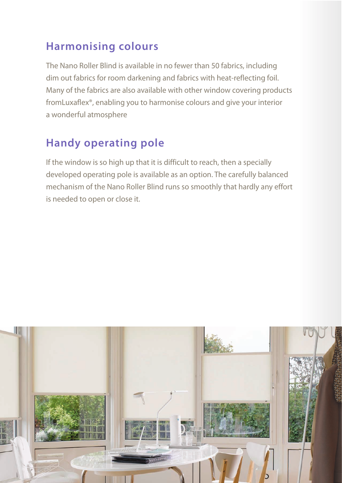#### **Harmonising colours**

The Nano Roller Blind is available in no fewer than 50 fabrics, including dim out fabrics for room darkening and fabrics with heat-reflecting foil. Many of the fabrics are also available with other window covering products fromLuxaflex®, enabling you to harmonise colours and give your interior a wonderful atmosphere

## **Handy operating pole**

If the window is so high up that it is difficult to reach, then a specially developed operating pole is available as an option. The carefully balanced mechanism of the Nano Roller Blind runs so smoothly that hardly any effort is needed to open or close it.

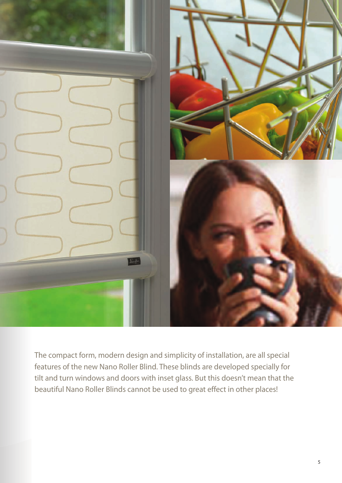

The compact form, modern design and simplicity of installation, are all special features of the new Nano Roller Blind. These blinds are developed specially for tilt and turn windows and doors with inset glass. But this doesn't mean that the beautiful Nano Roller Blinds cannot be used to great effect in other places!